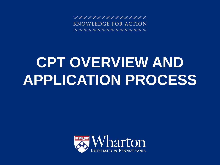KNOWLEDGE FOR ACTION 

# **CPT OVERVIEW AND APPLICATION PROCESS**

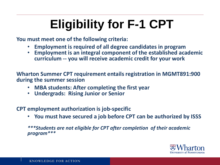## **Eligibility for F-1 CPT**

**You must meet one of the following criteria:**

- **Employment is required of all degree candidates in program**
- **Employment is an integral component of the established academic curriculum -- you will receive academic credit for your work**

**Wharton Summer CPT requirement entails registration in MGMT891:900 during the summer session** 

- **MBA students: After completing the first year**
- **Undergrads: Rising Junior or Senior**

**CPT employment authorization is job-specific**

• **You must have secured a job before CPT can be authorized by ISSS**

*\*\*\*Students are not eligible for CPT after completion of their academic program\*\*\**

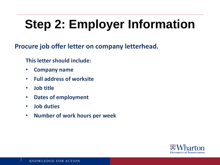## **Step 2: Employer Information**

**Procure job offer letter on company letterhead.** 

**This letter should include:** 

- **Company name**
- **Full address of worksite**
- **Job title**
- **Dates of employment**
- **Job duties**
- **Number of work hours per week**

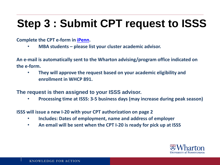#### **Step 3 : Submit CPT request to ISSS**

**Complete the CPT e-form in [iPenn](https://www.ipenn.oip.upenn.edu/).**

• **MBA students – please list your cluster academic advisor.**

**An e-mail is automatically sent to the Wharton advising/program office indicated on the e-form.** 

• **They will approve the request based on your academic eligibility and enrollment in WHCP 891.**

**The request is then assigned to your ISSS advisor.** 

• **Processing time at ISSS: 3-5 business days (may increase during peak season)**

**ISSS will issue a new I-20 with your CPT authorization on page 2**

- **Includes: Dates of employment, name and address of employer**
- **An email will be sent when the CPT I-20 is ready for pick up at ISSS**

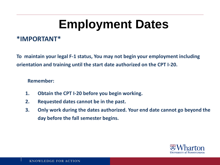### **Employment Dates**

#### **\*IMPORTANT\***

**To maintain your legal F-1 status, You may not begin your employment including orientation and training until the start date authorized on the CPT I-20.** 

**Remember:** 

- **1. Obtain the CPT I-20 before you begin working.**
- **2. Requested dates cannot be in the past.**
- **3. Only work during the dates authorized. Your end date cannot go beyond the day before the fall semester begins.**

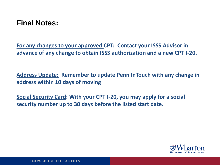#### **Final Notes:**

**For any changes to your approved CPT: Contact your ISSS Advisor in advance of any change to obtain ISSS authorization and a new CPT I-20.**

**Address Update: Remember to update Penn InTouch with any change in address within 10 days of moving**

**Social Security Card: With your CPT I-20, you may apply for a social security number up to 30 days before the listed start date.**